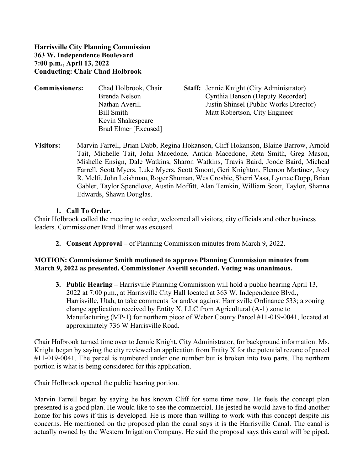#### **Harrisville City Planning Commission 363 W. Independence Boulevard 7:00 p.m., April 13, 2022 Conducting: Chair Chad Holbrook**

| <b>Commissioners:</b> | Chad Holbrook, Chair | <b>Staff:</b> Jennie Knight (City Administrator) |
|-----------------------|----------------------|--------------------------------------------------|
|                       | Brenda Nelson        | Cynthia Benson (Deputy Recorder)                 |
|                       | Nathan Averill       | Justin Shinsel (Public Works Director)           |
|                       | Bill Smith           | Matt Robertson, City Engineer                    |
|                       | Kevin Shakespeare    |                                                  |
|                       | Brad Elmer [Excused] |                                                  |

**Visitors:** Marvin Farrell, Brian Dabb, Regina Hokanson, Cliff Hokanson, Blaine Barrow, Arnold Tait, Michelle Tait, John Macedone, Antida Macedone, Reta Smith, Greg Mason, Mishelle Ensign, Dale Watkins, Sharon Watkins, Travis Baird, Joode Baird, Micheal Farrell, Scott Myers, Luke Myers, Scott Smoot, Geri Knighton, Flemon Martinez, Joey R. Melfi, John Leishman, Roger Shuman, Wes Crosbie, Sherri Vasa, Lynnae Dopp, Brian Gabler, Taylor Spendlove, Austin Moffitt, Alan Temkin, William Scott, Taylor, Shanna Edwards, Shawn Douglas.

#### **1. Call To Order.**

Chair Holbrook called the meeting to order, welcomed all visitors, city officials and other business leaders. Commissioner Brad Elmer was excused.

**2. Consent Approval –** of Planning Commission minutes from March 9, 2022.

## **MOTION: Commissioner Smith motioned to approve Planning Commission minutes from March 9, 2022 as presented. Commissioner Averill seconded. Voting was unanimous.**

**3. Public Hearing –** Harrisville Planning Commission will hold a public hearing April 13, 2022 at 7:00 p.m., at Harrisville City Hall located at 363 W. Independence Blvd., Harrisville, Utah, to take comments for and/or against Harrisville Ordinance 533; a zoning change application received by Entity X, LLC from Agricultural  $(A-1)$  zone to Manufacturing (MP-1) for northern piece of Weber County Parcel #11-019-0041, located at approximately 736 W Harrisville Road.

Chair Holbrook turned time over to Jennie Knight, City Administrator, for background information. Ms. Knight began by saying the city reviewed an application from Entity X for the potential rezone of parcel #11-019-0041. The parcel is numbered under one number but is broken into two parts. The northern portion is what is being considered for this application.

Chair Holbrook opened the public hearing portion.

Marvin Farrell began by saying he has known Cliff for some time now. He feels the concept plan presented is a good plan. He would like to see the commercial. He jested he would have to find another home for his cows if this is developed. He is more than willing to work with this concept despite his concerns. He mentioned on the proposed plan the canal says it is the Harrisville Canal. The canal is actually owned by the Western Irrigation Company. He said the proposal says this canal will be piped.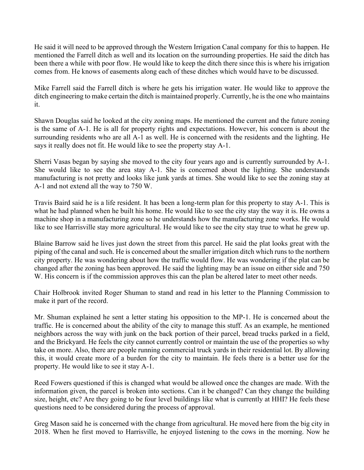He said it will need to be approved through the Western Irrigation Canal company for this to happen. He mentioned the Farrell ditch as well and its location on the surrounding properties. He said the ditch has been there a while with poor flow. He would like to keep the ditch there since this is where his irrigation comes from. He knows of easements along each of these ditches which would have to be discussed.

Mike Farrell said the Farrell ditch is where he gets his irrigation water. He would like to approve the ditch engineering to make certain the ditch is maintained properly. Currently, he is the one who maintains it.

Shawn Douglas said he looked at the city zoning maps. He mentioned the current and the future zoning is the same of A-1. He is all for property rights and expectations. However, his concern is about the surrounding residents who are all A-1 as well. He is concerned with the residents and the lighting. He says it really does not fit. He would like to see the property stay A-1.

Sherri Vasas began by saying she moved to the city four years ago and is currently surrounded by A-1. She would like to see the area stay A-1. She is concerned about the lighting. She understands manufacturing is not pretty and looks like junk yards at times. She would like to see the zoning stay at A-1 and not extend all the way to 750 W.

Travis Baird said he is a life resident. It has been a long-term plan for this property to stay A-1. This is what he had planned when he built his home. He would like to see the city stay the way it is. He owns a machine shop in a manufacturing zone so he understands how the manufacturing zone works. He would like to see Harrisville stay more agricultural. He would like to see the city stay true to what he grew up.

Blaine Barrow said he lives just down the street from this parcel. He said the plat looks great with the piping of the canal and such. He is concerned about the smaller irrigation ditch which runs to the northern city property. He was wondering about how the traffic would flow. He was wondering if the plat can be changed after the zoning has been approved. He said the lighting may be an issue on either side and 750 W. His concern is if the commission approves this can the plan be altered later to meet other needs.

Chair Holbrook invited Roger Shuman to stand and read in his letter to the Planning Commission to make it part of the record.

Mr. Shuman explained he sent a letter stating his opposition to the MP-1. He is concerned about the traffic. He is concerned about the ability of the city to manage this stuff. As an example, he mentioned neighbors across the way with junk on the back portion of their parcel, bread trucks parked in a field, and the Brickyard. He feels the city cannot currently control or maintain the use of the properties so why take on more. Also, there are people running commercial truck yards in their residential lot. By allowing this, it would create more of a burden for the city to maintain. He feels there is a better use for the property. He would like to see it stay A-1.

Reed Fowers questioned if this is changed what would be allowed once the changes are made. With the information given, the parcel is broken into sections. Can it be changed? Can they change the building size, height, etc? Are they going to be four level buildings like what is currently at HHI? He feels these questions need to be considered during the process of approval.

Greg Mason said he is concerned with the change from agricultural. He moved here from the big city in 2018. When he first moved to Harrisville, he enjoyed listening to the cows in the morning. Now he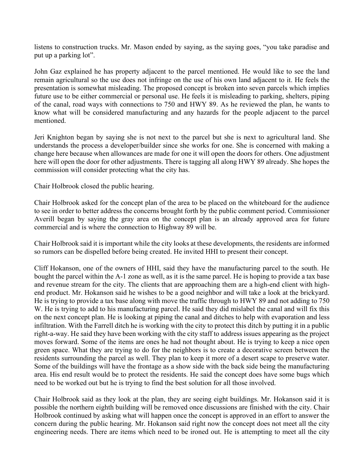listens to construction trucks. Mr. Mason ended by saying, as the saying goes, "you take paradise and put up a parking lot".

John Gaz explained he has property adjacent to the parcel mentioned. He would like to see the land remain agricultural so the use does not infringe on the use of his own land adjacent to it. He feels the presentation is somewhat misleading. The proposed concept is broken into seven parcels which implies future use to be either commercial or personal use. He feels it is misleading to parking, shelters, piping of the canal, road ways with connections to 750 and HWY 89. As he reviewed the plan, he wants to know what will be considered manufacturing and any hazards for the people adjacent to the parcel mentioned.

Jeri Knighton began by saying she is not next to the parcel but she is next to agricultural land. She understands the process a developer/builder since she works for one. She is concerned with making a change here because when allowances are made for one it will open the doors for others. One adjustment here will open the door for other adjustments. There is tagging all along HWY 89 already. She hopes the commission will consider protecting what the city has.

Chair Holbrook closed the public hearing.

Chair Holbrook asked for the concept plan of the area to be placed on the whiteboard for the audience to see in order to better address the concerns brought forth by the public comment period. Commissioner Averill began by saying the gray area on the concept plan is an already approved area for future commercial and is where the connection to Highway 89 will be.

Chair Holbrook said it is important while the city looks at these developments, the residents are informed so rumors can be dispelled before being created. He invited HHI to present their concept.

Cliff Hokanson, one of the owners of HHI, said they have the manufacturing parcel to the south. He bought the parcel within the A-1 zone as well, as it is the same parcel. He is hoping to provide a tax base and revenue stream for the city. The clients that are approaching them are a high-end client with highend product. Mr. Hokanson said he wishes to be a good neighbor and will take a look at the brickyard. He is trying to provide a tax base along with move the traffic through to HWY 89 and not adding to 750 W. He is trying to add to his manufacturing parcel. He said they did mislabel the canal and will fix this on the next concept plan. He is looking at piping the canal and ditches to help with evaporation and less infiltration. With the Farrell ditch he is working with the city to protect this ditch by putting it in a public right-a-way. He said they have been working with the city staff to address issues appearing as the project moves forward. Some of the items are ones he had not thought about. He is trying to keep a nice open green space. What they are trying to do for the neighbors is to create a decorative screen between the residents surrounding the parcel as well. They plan to keep it more of a desert scape to preserve water. Some of the buildings will have the frontage as a show side with the back side being the manufacturing area. His end result would be to protect the residents. He said the concept does have some bugs which need to be worked out but he is trying to find the best solution for all those involved.

Chair Holbrook said as they look at the plan, they are seeing eight buildings. Mr. Hokanson said it is possible the northern eighth building will be removed once discussions are finished with the city. Chair Holbrook continued by asking what will happen once the concept is approved in an effort to answer the concern during the public hearing. Mr. Hokanson said right now the concept does not meet all the city engineering needs. There are items which need to be ironed out. He is attempting to meet all the city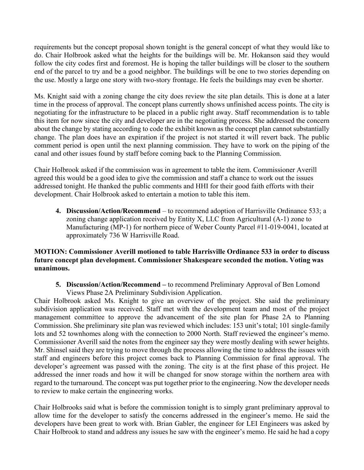requirements but the concept proposal shown tonight is the general concept of what they would like to do. Chair Holbrook asked what the heights for the buildings will be. Mr. Hokanson said they would follow the city codes first and foremost. He is hoping the taller buildings will be closer to the southern end of the parcel to try and be a good neighbor. The buildings will be one to two stories depending on the use. Mostly a large one story with two-story frontage. He feels the buildings may even be shorter.

Ms. Knight said with a zoning change the city does review the site plan details. This is done at a later time in the process of approval. The concept plans currently shows unfinished access points. The city is negotiating for the infrastructure to be placed in a public right away. Staff recommendation is to table this item for now since the city and developer are in the negotiating process. She addressed the concern about the change by stating according to code the exhibit known as the concept plan cannot substantially change. The plan does have an expiration if the project is not started it will revert back. The public comment period is open until the next planning commission. They have to work on the piping of the canal and other issues found by staff before coming back to the Planning Commission.

Chair Holbrook asked if the commission was in agreement to table the item. Commissioner Averill agreed this would be a good idea to give the commission and staff a chance to work out the issues addressed tonight. He thanked the public comments and HHI for their good faith efforts with their development. Chair Holbrook asked to entertain a motion to table this item.

**4. Discussion/Action/Recommend** – to recommend adoption of Harrisville Ordinance 533; a zoning change application received by Entity X, LLC from Agricultural (A-1) zone to Manufacturing (MP-1) for northern piece of Weber County Parcel #11-019-0041, located at approximately 736 W Harrisville Road.

## **MOTION: Commissioner Averill motioned to table Harrisville Ordinance 533 in order to discuss future concept plan development. Commissioner Shakespeare seconded the motion. Voting was unanimous.**

**5. Discussion/Action/Recommend –** to recommend Preliminary Approval of Ben Lomond Views Phase 2A Preliminary Subdivision Application.

Chair Holbrook asked Ms. Knight to give an overview of the project. She said the preliminary subdivision application was received. Staff met with the development team and most of the project management committee to approve the advancement of the site plan for Phase 2A to Planning Commission. She preliminary site plan was reviewed which includes: 153 unit's total; 101 single-family lots and 52 townhomes along with the connection to 2000 North. Staff reviewed the engineer's memo. Commissioner Averill said the notes from the engineer say they were mostly dealing with sewer heights. Mr. Shinsel said they are trying to move through the process allowing the time to address the issues with staff and engineers before this project comes back to Planning Commission for final approval. The developer's agreement was passed with the zoning. The city is at the first phase of this project. He addressed the inner roads and how it will be changed for snow storage within the northern area with regard to the turnaround. The concept was put together prior to the engineering. Now the developer needs to review to make certain the engineering works.

Chair Holbrooks said what is before the commission tonight is to simply grant preliminary approval to allow time for the developer to satisfy the concerns addressed in the engineer's memo. He said the developers have been great to work with. Brian Gabler, the engineer for LEI Engineers was asked by Chair Holbrook to stand and address any issues he saw with the engineer's memo. He said he had a copy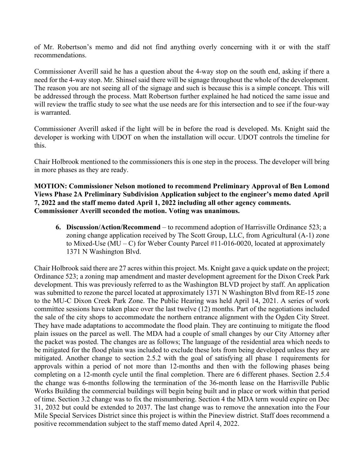of Mr. Robertson's memo and did not find anything overly concerning with it or with the staff recommendations.

Commissioner Averill said he has a question about the 4-way stop on the south end, asking if there a need for the 4-way stop. Mr. Shinsel said there will be signage throughout the whole of the development. The reason you are not seeing all of the signage and such is because this is a simple concept. This will be addressed through the process. Matt Robertson further explained he had noticed the same issue and will review the traffic study to see what the use needs are for this intersection and to see if the four-way is warranted.

Commissioner Averill asked if the light will be in before the road is developed. Ms. Knight said the developer is working with UDOT on when the installation will occur. UDOT controls the timeline for this.

Chair Holbrook mentioned to the commissioners this is one step in the process. The developer will bring in more phases as they are ready.

**MOTION: Commissioner Nelson motioned to recommend Preliminary Approval of Ben Lomond Views Phase 2A Preliminary Subdivision Application subject to the engineer's memo dated April 7, 2022 and the staff memo dated April 1, 2022 including all other agency comments. Commissioner Averill seconded the motion. Voting was unanimous.**

**6. Discussion/Action/Recommend** – to recommend adoption of Harrisville Ordinance 523; a zoning change application received by The Scott Group, LLC, from Agricultural (A-1) zone to Mixed-Use (MU – C) for Weber County Parcel  $#11$ -016-0020, located at approximately 1371 N Washington Blvd.

Chair Holbrook said there are 27 acres within this project. Ms. Knight gave a quick update on the project; Ordinance 523; a zoning map amendment and master development agreement for the Dixon Creek Park development. This was previously referred to as the Washington BLVD project by staff. An application was submitted to rezone the parcel located at approximately 1371 N Washington Blvd from RE-15 zone to the MU-C Dixon Creek Park Zone. The Public Hearing was held April 14, 2021. A series of work committee sessions have taken place over the last twelve (12) months. Part of the negotiations included the sale of the city shops to accommodate the northern entrance alignment with the Ogden City Street. They have made adaptations to accommodate the flood plain. They are continuing to mitigate the flood plain issues on the parcel as well. The MDA had a couple of small changes by our City Attorney after the packet was posted. The changes are as follows; The language of the residential area which needs to be mitigated for the flood plain was included to exclude these lots from being developed unless they are mitigated. Another change to section 2.5.2 with the goal of satisfying all phase 1 requirements for approvals within a period of not more than 12-months and then with the following phases being completing on a 12-month cycle until the final completion. There are 6 different phases. Section 2.5.4 the change was 6-months following the termination of the 36-month lease on the Harrisville Public Works Building the commercial buildings will begin being built and in place or work within that period of time. Section 3.2 change was to fix the misnumbering. Section 4 the MDA term would expire on Dec 31, 2032 but could be extended to 2037. The last change was to remove the annexation into the Four Mile Special Services District since this project is within the Pineview district. Staff does recommend a positive recommendation subject to the staff memo dated April 4, 2022.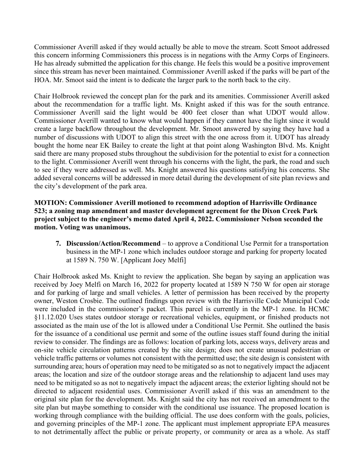Commissioner Averill asked if they would actually be able to move the stream. Scott Smoot addressed this concern informing Commissioners this process is in negations with the Army Corps of Engineers. He has already submitted the application for this change. He feels this would be a positive improvement since this stream has never been maintained. Commissioner Averill asked if the parks will be part of the HOA. Mr. Smoot said the intent is to dedicate the larger park to the north back to the city.

Chair Holbrook reviewed the concept plan for the park and its amenities. Commissioner Averill asked about the recommendation for a traffic light. Ms. Knight asked if this was for the south entrance. Commissioner Averill said the light would be 400 feet closer than what UDOT would allow. Commissioner Averill wanted to know what would happen if they cannot have the light since it would create a large backflow throughout the development. Mr. Smoot answered by saying they have had a number of discussions with UDOT to align this street with the one across from it. UDOT has already bought the home near EK Bailey to create the light at that point along Washington Blvd. Ms. Knight said there are many proposed stubs throughout the subdivision for the potential to exist for a connection to the light. Commissioner Averill went through his concerns with the light, the park, the road and such to see if they were addressed as well. Ms. Knight answered his questions satisfying his concerns. She added several concerns will be addressed in more detail during the development of site plan reviews and the city's development of the park area.

## **MOTION: Commissioner Averill motioned to recommend adoption of Harrisville Ordinance 523; a zoning map amendment and master development agreement for the Dixon Creek Park project subject to the engineer's memo dated April 4, 2022. Commissioner Nelson seconded the motion. Voting was unanimous.**

**7. Discussion/Action/Recommend** – to approve a Conditional Use Permit for a transportation business in the MP-1 zone which includes outdoor storage and parking for property located at 1589 N. 750 W. [Applicant Joey Melfi]

Chair Holbrook asked Ms. Knight to review the application. She began by saying an application was received by Joey Melfi on March 16, 2022 for property located at 1589 N 750 W for open air storage and for parking of large and small vehicles. A letter of permission has been received by the property owner, Weston Crosbie. The outlined findings upon review with the Harrisville Code Municipal Code were included in the commissioner's packet. This parcel is currently in the MP-1 zone. In HCMC §11.12.020 Uses states outdoor storage or recreational vehicles, equipment, or finished products not associated as the main use of the lot is allowed under a Conditional Use Permit. She outlined the basis for the issuance of a conditional use permit and some of the outline issues staff found during the initial review to consider. The findings are as follows: location of parking lots, access ways, delivery areas and on-site vehicle circulation patterns created by the site design; does not create unusual pedestrian or vehicle traffic patterns or volumes not consistent with the permitted use; the site design is consistent with surrounding area; hours of operation may need to be mitigated so as not to negatively impact the adjacent areas; the location and size of the outdoor storage areas and the relationship to adjacent land uses may need to be mitigated so as not to negatively impact the adjacent areas; the exterior lighting should not be directed to adjacent residential uses. Commissioner Averill asked if this was an amendment to the original site plan for the development. Ms. Knight said the city has not received an amendment to the site plan but maybe something to consider with the conditional use issuance. The proposed location is working through compliance with the building official. The use does conform with the goals, policies, and governing principles of the MP-1 zone. The applicant must implement appropriate EPA measures to not detrimentally affect the public or private property, or community or area as a whole. As staff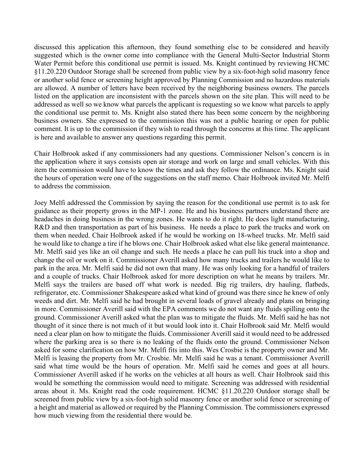discussed this application this afternoon, they found something else to be considered and heavily suggested which is the owner come into compliance with the General Multi-Sector Industrial Storm Water Permit before this conditional use permit is issued. Ms. Knight continued by reviewing HCMC §11.20.220 Outdoor Storage shall be screened from public view by a six-foot-high solid masonry fence or another solid fence or screening height approved by Planning Commission and no hazardous materials are allowed. A number of letters have been received by the neighboring business owners. The parcels listed on the application are inconsistent with the parcels shown on the site plan. This will need to be addressed as well so we know what parcels the applicant is requesting so we know what parcels to apply the conditional use permit to. Ms. Knight also stated there has been some concern by the neighboring business owners. She expressed to the commission this was not a public hearing or open for public comment. It is up to the commission if they wish to read through the concerns at this time. The applicant is here and available to answer any questions regarding this permit.

Chair Holbrook asked if any commissioners had any questions. Commissioner Nelson's concern is in the application where it says consists open air storage and work on large and small vehicles. With this item the commission would have to know the times and ask they follow the ordinance. Ms. Knight said the hours of operation were one of the suggestions on the staff memo. Chair Holbrook invited Mr. Melfi to address the commission.

Joey Melfi addressed the Commission by saying the reason for the conditional use permit is to ask for guidance as their property grows in the MP-1 zone. He and his business partners understand there are headaches in doing business in the wrong zones. He wants to do it right. He does light manufacturing, R&D and then transportation as part of his business. He needs a place to park the trucks and work on them when needed. Chair Holbrook asked if he would be working on 18-wheel trucks. Mr. Melfi said he would like to change a tire if he blows one. Chair Holbrook asked what else like general maintenance. Mr. Melfi said yes like an oil change and such. He needs a place he can pull his truck into a shop and change the oil or work on it. Commissioner Averill asked how many trucks and trailers he would like to park in the area. Mr. Melfi said he did not own that many. He was only looking for a handful of trailers and a couple of trucks. Chair Holbrook asked for more description on what he means by trailers. Mr. Melfi says the trailers are based off what work is needed. Big rig trailers, dry hauling, flatbeds, refrigerator, etc. Commissioner Shakespeare asked what kind of ground was there since he knew of only weeds and dirt. Mr. Melfi said he had brought in several loads of gravel already and plans on bringing in more. Commissioner Averill said with the EPA comments we do not want any fluids spilling onto the ground. Commissioner Averill asked what the plan was to mitigate the fluids. Mr. Melfi said he has not thought of it since there is not much of it but would look into it. Chair Holbrook said Mr. Melfi would need a clear plan on how to mitigate the fluids. Commissioner Averill said it would need to be addressed where the parking area is so there is no leaking of the fluids onto the ground. Commissioner Nelson asked for some clarification on how Mr. Melfi fits into this. Wes Crosbie is the property owner and Mr. Melfi is leasing the property from Mr. Crosbie. Mr. Melfi said he was a tenant. Commissioner Averill said what time would be the hours of operation. Mr. Melfi said he comes and goes at all hours. Commissioner Averill asked if he works on the vehicles at all hours as well. Chair Holbrook said this would be something the commission would need to mitigate. Screening was addressed with residential areas about it. Ms. Knight read the code requirement. HCMC §11.20.220 Outdoor storage shall be screened from public view by a six-foot-high solid masonry fence or another solid fence or screening of a height and material as allowed or required by the Planning Commission. The commissioners expressed how much viewing from the residential there would be.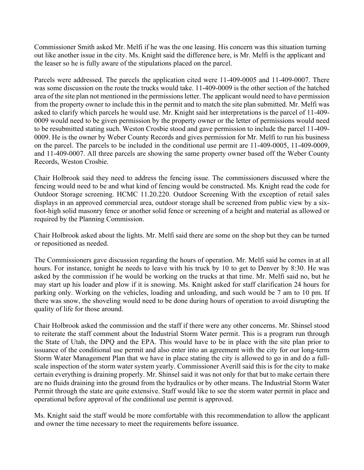Commissioner Smith asked Mr. Melfi if he was the one leasing. His concern was this situation turning out like another issue in the city. Ms. Knight said the difference here, is Mr. Melfi is the applicant and the leaser so he is fully aware of the stipulations placed on the parcel.

Parcels were addressed. The parcels the application cited were 11-409-0005 and 11-409-0007. There was some discussion on the route the trucks would take. 11-409-0009 is the other section of the hatched area of the site plan not mentioned in the permissions letter. The applicant would need to have permission from the property owner to include this in the permit and to match the site plan submitted. Mr. Melfi was asked to clarify which parcels he would use. Mr. Knight said her interpretations is the parcel of 11-409- 0009 would need to be given permission by the property owner or the letter of permissions would need to be resubmitted stating such. Weston Crosbie stood and gave permission to include the parcel 11-409- 0009. He is the owner by Weber County Records and gives permission for Mr. Melfi to run his business on the parcel. The parcels to be included in the conditional use permit are 11-409-0005, 11-409-0009, and 11-409-0007. All three parcels are showing the same property owner based off the Weber County Records, Weston Crosbie.

Chair Holbrook said they need to address the fencing issue. The commissioners discussed where the fencing would need to be and what kind of fencing would be constructed. Ms. Knight read the code for Outdoor Storage screening. HCMC 11.20.220. Outdoor Screening With the exception of retail sales displays in an approved commercial area, outdoor storage shall be screened from public view by a sixfoot-high solid masonry fence or another solid fence or screening of a height and material as allowed or required by the Planning Commission.

Chair Holbrook asked about the lights. Mr. Melfi said there are some on the shop but they can be turned or repositioned as needed.

The Commissioners gave discussion regarding the hours of operation. Mr. Melfi said he comes in at all hours. For instance, tonight he needs to leave with his truck by 10 to get to Denver by 8:30. He was asked by the commission if he would be working on the trucks at that time. Mr. Melfi said no, but he may start up his loader and plow if it is snowing. Ms. Knight asked for staff clarification 24 hours for parking only. Working on the vehicles, loading and unloading, and such would be 7 am to 10 pm. If there was snow, the shoveling would need to be done during hours of operation to avoid disrupting the quality of life for those around.

Chair Holbrook asked the commission and the staff if there were any other concerns. Mr. Shinsel stood to reiterate the staff comment about the Industrial Storm Water permit. This is a program run through the State of Utah, the DPQ and the EPA. This would have to be in place with the site plan prior to issuance of the conditional use permit and also enter into an agreement with the city for our long-term Storm Water Management Plan that we have in place stating the city is allowed to go in and do a fullscale inspection of the storm water system yearly. Commissioner Averill said this is for the city to make certain everything is draining properly. Mr. Shinsel said it was not only for that but to make certain there are no fluids draining into the ground from the hydraulics or by other means. The Industrial Storm Water Permit through the state are quite extensive. Staff would like to see the storm water permit in place and operational before approval of the conditional use permit is approved.

Ms. Knight said the staff would be more comfortable with this recommendation to allow the applicant and owner the time necessary to meet the requirements before issuance.